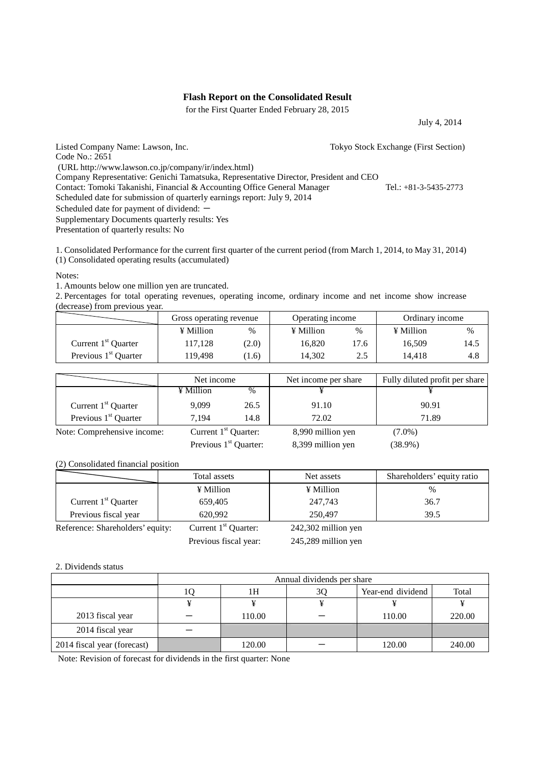## **Flash Report on the Consolidated Result**

for the First Quarter Ended February 28, 2015

July 4, 2014

Code No.: 2651

Listed Company Name: Lawson, Inc. Tokyo Stock Exchange (First Section)

(URL http://www.lawson.co.jp/company/ir/index.html)

Company Representative: Genichi Tamatsuka, Representative Director, President and CEO

Contact: Tomoki Takanishi, Financial & Accounting Office General Manager Tel.: +81-3-5435-2773 Scheduled date for submission of quarterly earnings report: July 9, 2014

Scheduled date for payment of dividend: -

Supplementary Documents quarterly results: Yes

Presentation of quarterly results: No

1. Consolidated Performance for the current first quarter of the current period (from March 1, 2014, to May 31, 2014) (1) Consolidated operating results (accumulated)

Notes:

1. Amounts below one million yen are truncated.

2. Percentages for total operating revenues, operating income, ordinary income and net income show increase (decrease) from previous year.

|                                  | Gross operating revenue |       | Operating income |                         | Ordinary income |      |
|----------------------------------|-------------------------|-------|------------------|-------------------------|-----------------|------|
|                                  | ¥ Million               | %     | ¥ Million        | %                       | ¥ Million       | %    |
| Current $1st$ Quarter            | 117.128                 | (2.0) | 16.820           | 7.6                     | 16.509          | 14.5 |
| Previous 1 <sup>st</sup> Quarter | 119.498                 | 1.6   | 14.302           | ኅ 5<br><u>، ، ، ، ،</u> | 14.418          | 4.8  |

|                                  | Net income             |      | Net income per share | Fully diluted profit per share |
|----------------------------------|------------------------|------|----------------------|--------------------------------|
|                                  | ¥ Million              | $\%$ |                      |                                |
| Current $1st$ Quarter            | 9.099                  | 26.5 | 91.10                | 90.91                          |
| Previous 1 <sup>st</sup> Quarter | 7.194                  | 14.8 | 72.02                | 71.89                          |
| Note: Comprehensive income:      | Current $1st$ Quarter: |      | 8,990 million yen    | $(7.0\%)$                      |
|                                  | $     -$               |      |                      |                                |

Previous  $1<sup>st</sup>$  Quarter: 8,399 million yen (38.9%)

### (2) Consolidated financial position

|                       | Total assets  | Net assets | Shareholders' equity ratio |
|-----------------------|---------------|------------|----------------------------|
|                       | ¥ Million     | ¥ Million  | %                          |
| Current $1st$ Quarter | 659.405       | 247,743    | 36.7                       |
| Previous fiscal year  | 620.992       | 250,497    | 39.5                       |
| $\sim$ $\sim$         | أحاكم الأحمار |            |                            |

Reference: Shareholders' equity: Current 1<sup>st</sup> Quarter: 242,302 million yen

Previous fiscal year: 245,289 million yen

#### 2. Dividends status

|                             | Annual dividends per share |    |                   |        |  |
|-----------------------------|----------------------------|----|-------------------|--------|--|
|                             | 1Η                         | 3Q | Year-end dividend | Total  |  |
|                             |                            |    |                   |        |  |
| 2013 fiscal year            | 110.00                     |    | 110.00            | 220.00 |  |
| 2014 fiscal year            |                            |    |                   |        |  |
| 2014 fiscal year (forecast) | 120.00                     |    | 120.00            | 240.00 |  |

Note: Revision of forecast for dividends in the first quarter: None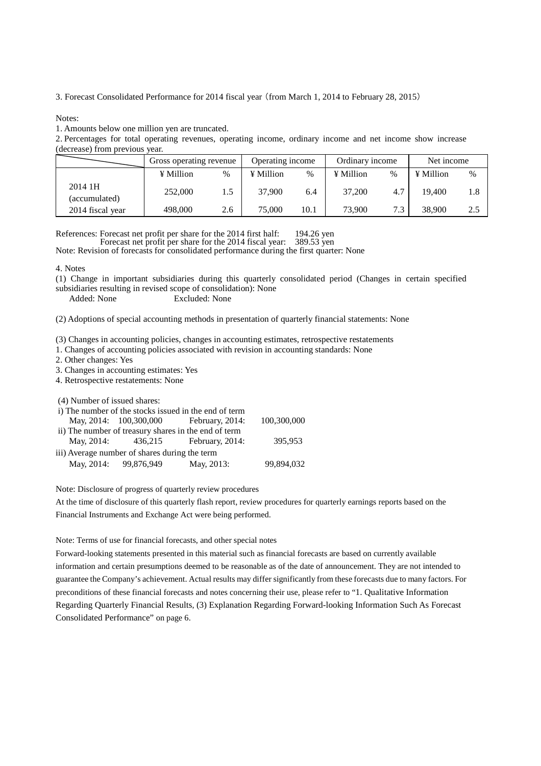3. Forecast Consolidated Performance for 2014 fiscal year (from March 1, 2014 to February 28, 2015)

Notes:

1. Amounts below one million yen are truncated.

2. Percentages for total operating revenues, operating income, ordinary income and net income show increase (decrease) from previous year.

|                          | Gross operating revenue |      | Operating income |      | Ordinary income |     | Net income |     |
|--------------------------|-------------------------|------|------------------|------|-----------------|-----|------------|-----|
|                          | ¥ Million               | $\%$ | ¥ Million        | %    | ¥ Million       | %   | ¥ Million  | %   |
| 2014 1H<br>(accumulated) | 252,000                 |      | 37,900           | 6.4  | 37,200          | 4.7 | 19.400     | 1.8 |
| 2014 fiscal year         | 498,000                 | 2.6  | 75,000           | 10.1 | 73,900          | 7.3 | 38,900     | 2.5 |

References: Forecast net profit per share for the 2014 first half: 194.26 yen<br>Forecast net profit per share for the 2014 fiscal year: 389.53 yen

Forecast net profit per share for the 2014 fiscal year:

Note: Revision of forecasts for consolidated performance during the first quarter: None

4. Notes

(1) Change in important subsidiaries during this quarterly consolidated period (Changes in certain specified

subsidiaries resulting in revised scope of consolidation): None

Added: None Excluded: None

(2) Adoptions of special accounting methods in presentation of quarterly financial statements: None

(3) Changes in accounting policies, changes in accounting estimates, retrospective restatements

1. Changes of accounting policies associated with revision in accounting standards: None

2. Other changes: Yes

3. Changes in accounting estimates: Yes

4. Retrospective restatements: None

(4) Number of issued shares:

|                                               | i) The number of the stocks issued in the end of term |             |
|-----------------------------------------------|-------------------------------------------------------|-------------|
|                                               | May, 2014: 100,300,000 February, 2014:                | 100,300,000 |
|                                               | ii) The number of treasury shares in the end of term  |             |
| May, 2014: 436,215                            | February, 2014:                                       | 395,953     |
| iii) Average number of shares during the term |                                                       |             |
| May, 2014: 99,876,949                         | May, 2013:                                            | 99,894,032  |

Note: Disclosure of progress of quarterly review procedures

At the time of disclosure of this quarterly flash report, review procedures for quarterly earnings reports based on the Financial Instruments and Exchange Act were being performed.

Note: Terms of use for financial forecasts, and other special notes

Forward-looking statements presented in this material such as financial forecasts are based on currently available information and certain presumptions deemed to be reasonable as of the date of announcement. They are not intended to guarantee the Company's achievement. Actual results may differ significantly from these forecasts due to many factors. For preconditions of these financial forecasts and notes concerning their use, please refer to "1. Qualitative Information Regarding Quarterly Financial Results, (3) Explanation Regarding Forward-looking Information Such As Forecast Consolidated Performance" on page 6.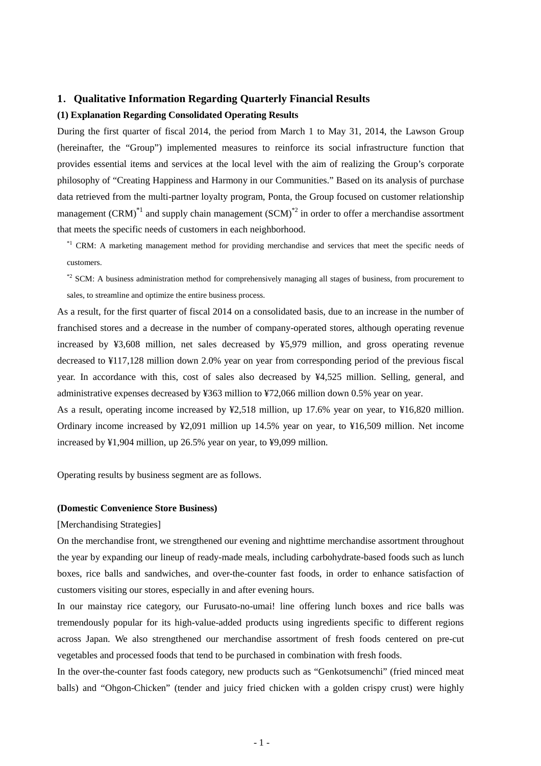## **1**.**Qualitative Information Regarding Quarterly Financial Results**

## **(1) Explanation Regarding Consolidated Operating Results**

During the first quarter of fiscal 2014, the period from March 1 to May 31, 2014, the Lawson Group (hereinafter, the "Group") implemented measures to reinforce its social infrastructure function that provides essential items and services at the local level with the aim of realizing the Group's corporate philosophy of "Creating Happiness and Harmony in our Communities." Based on its analysis of purchase data retrieved from the multi-partner loyalty program, Ponta, the Group focused on customer relationship management  $(CRM)^{1/2}$  and supply chain management  $(SCM)^{2/2}$  in order to offer a merchandise assortment that meets the specific needs of customers in each neighborhood.

\*1 CRM: A marketing management method for providing merchandise and services that meet the specific needs of customers.

\*2 SCM: A business administration method for comprehensively managing all stages of business, from procurement to sales, to streamline and optimize the entire business process.

As a result, for the first quarter of fiscal 2014 on a consolidated basis, due to an increase in the number of franchised stores and a decrease in the number of company-operated stores, although operating revenue increased by ¥3,608 million, net sales decreased by ¥5,979 million, and gross operating revenue decreased to ¥117,128 million down 2.0% year on year from corresponding period of the previous fiscal year. In accordance with this, cost of sales also decreased by ¥4,525 million. Selling, general, and administrative expenses decreased by ¥363 million to ¥72,066 million down 0.5% year on year.

As a result, operating income increased by ¥2,518 million, up 17.6% year on year, to ¥16,820 million. Ordinary income increased by ¥2,091 million up 14.5% year on year, to ¥16,509 million. Net income increased by ¥1,904 million, up 26.5% year on year, to ¥9,099 million.

Operating results by business segment are as follows.

#### **(Domestic Convenience Store Business)**

### [Merchandising Strategies]

On the merchandise front, we strengthened our evening and nighttime merchandise assortment throughout the year by expanding our lineup of ready-made meals, including carbohydrate-based foods such as lunch boxes, rice balls and sandwiches, and over-the-counter fast foods, in order to enhance satisfaction of customers visiting our stores, especially in and after evening hours.

In our mainstay rice category, our Furusato-no-umai! line offering lunch boxes and rice balls was tremendously popular for its high-value-added products using ingredients specific to different regions across Japan. We also strengthened our merchandise assortment of fresh foods centered on pre-cut vegetables and processed foods that tend to be purchased in combination with fresh foods.

In the over-the-counter fast foods category, new products such as "Genkotsumenchi" (fried minced meat balls) and "Ohgon-Chicken" (tender and juicy fried chicken with a golden crispy crust) were highly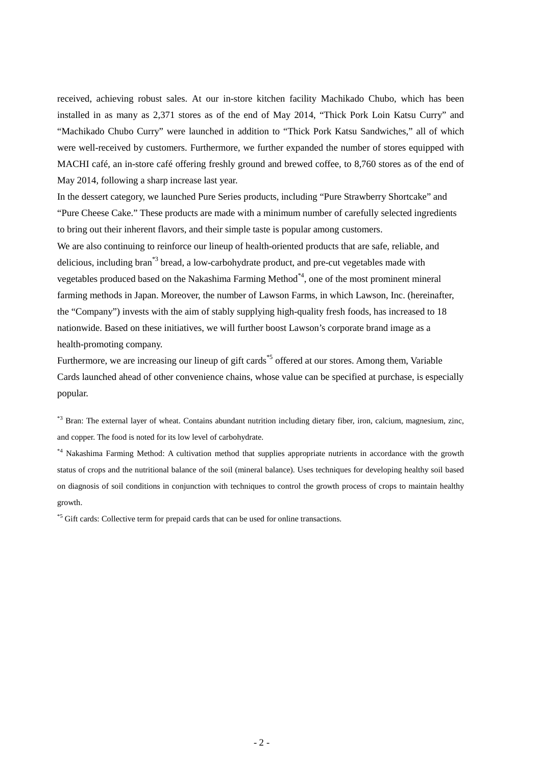received, achieving robust sales. At our in-store kitchen facility Machikado Chubo, which has been installed in as many as 2,371 stores as of the end of May 2014, "Thick Pork Loin Katsu Curry" and "Machikado Chubo Curry" were launched in addition to "Thick Pork Katsu Sandwiches," all of which were well-received by customers. Furthermore, we further expanded the number of stores equipped with MACHI café, an in-store café offering freshly ground and brewed coffee, to 8,760 stores as of the end of May 2014, following a sharp increase last year.

In the dessert category, we launched Pure Series products, including "Pure Strawberry Shortcake" and "Pure Cheese Cake." These products are made with a minimum number of carefully selected ingredients to bring out their inherent flavors, and their simple taste is popular among customers.

We are also continuing to reinforce our lineup of health-oriented products that are safe, reliable, and delicious, including bran<sup>\*3</sup> bread, a low-carbohydrate product, and pre-cut vegetables made with vegetables produced based on the Nakashima Farming Method $A^*$ , one of the most prominent mineral farming methods in Japan. Moreover, the number of Lawson Farms, in which Lawson, Inc. (hereinafter, the "Company") invests with the aim of stably supplying high-quality fresh foods, has increased to 18 nationwide. Based on these initiatives, we will further boost Lawson's corporate brand image as a health-promoting company.

Furthermore, we are increasing our lineup of gift cards<sup>\*5</sup> offered at our stores. Among them, Variable Cards launched ahead of other convenience chains, whose value can be specified at purchase, is especially popular.

\*3 Bran: The external layer of wheat. Contains abundant nutrition including dietary fiber, iron, calcium, magnesium, zinc, and copper. The food is noted for its low level of carbohydrate.

\*4 Nakashima Farming Method: A cultivation method that supplies appropriate nutrients in accordance with the growth status of crops and the nutritional balance of the soil (mineral balance). Uses techniques for developing healthy soil based on diagnosis of soil conditions in conjunction with techniques to control the growth process of crops to maintain healthy growth.

<sup>\*5</sup> Gift cards: Collective term for prepaid cards that can be used for online transactions.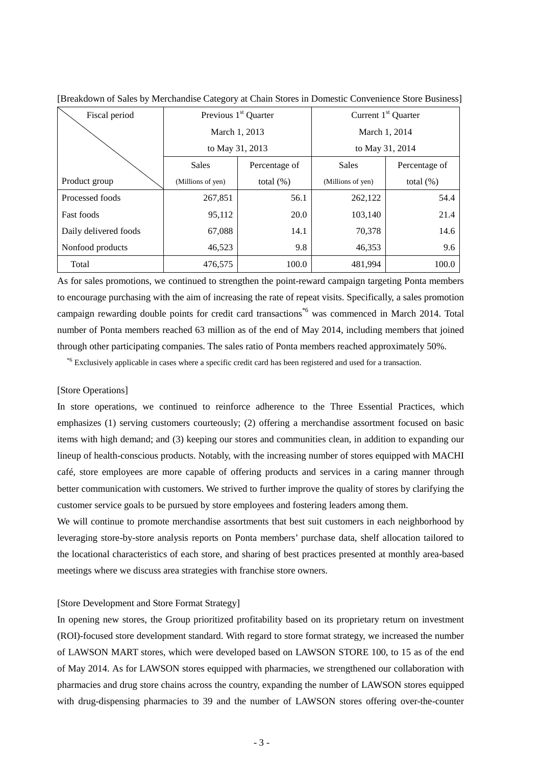| Fiscal period         | Previous 1 <sup>st</sup> Quarter |              | Current $1st$ Quarter |               |  |
|-----------------------|----------------------------------|--------------|-----------------------|---------------|--|
|                       | March 1, 2013                    |              | March 1, 2014         |               |  |
|                       | to May 31, 2013                  |              | to May 31, 2014       |               |  |
|                       | Sales<br>Percentage of           |              | Sales                 | Percentage of |  |
| Product group         | (Millions of yen)                | total $(\%)$ | (Millions of yen)     | total $(\%)$  |  |
| Processed foods       | 267,851                          | 56.1         | 262,122               | 54.4          |  |
| <b>Fast foods</b>     | 95,112                           | 20.0         | 103,140               | 21.4          |  |
| Daily delivered foods | 67,088                           | 14.1         | 70,378                | 14.6          |  |
| Nonfood products      | 46,523                           | 9.8          | 46,353                | 9.6           |  |
| Total                 | 476,575                          | 100.0        | 481.994               | 100.0         |  |

[Breakdown of Sales by Merchandise Category at Chain Stores in Domestic Convenience Store Business]

As for sales promotions, we continued to strengthen the point-reward campaign targeting Ponta members to encourage purchasing with the aim of increasing the rate of repeat visits. Specifically, a sales promotion campaign rewarding double points for credit card transactions<sup>\*6</sup> was commenced in March 2014. Total number of Ponta members reached 63 million as of the end of May 2014, including members that joined through other participating companies. The sales ratio of Ponta members reached approximately 50%.

\*6 Exclusively applicable in cases where a specific credit card has been registered and used for a transaction.

#### [Store Operations]

In store operations, we continued to reinforce adherence to the Three Essential Practices, which emphasizes (1) serving customers courteously; (2) offering a merchandise assortment focused on basic items with high demand; and (3) keeping our stores and communities clean, in addition to expanding our lineup of health-conscious products. Notably, with the increasing number of stores equipped with MACHI café, store employees are more capable of offering products and services in a caring manner through better communication with customers. We strived to further improve the quality of stores by clarifying the customer service goals to be pursued by store employees and fostering leaders among them.

We will continue to promote merchandise assortments that best suit customers in each neighborhood by leveraging store-by-store analysis reports on Ponta members' purchase data, shelf allocation tailored to the locational characteristics of each store, and sharing of best practices presented at monthly area-based meetings where we discuss area strategies with franchise store owners.

## [Store Development and Store Format Strategy]

In opening new stores, the Group prioritized profitability based on its proprietary return on investment (ROI)-focused store development standard. With regard to store format strategy, we increased the number of LAWSON MART stores, which were developed based on LAWSON STORE 100, to 15 as of the end of May 2014. As for LAWSON stores equipped with pharmacies, we strengthened our collaboration with pharmacies and drug store chains across the country, expanding the number of LAWSON stores equipped with drug-dispensing pharmacies to 39 and the number of LAWSON stores offering over-the-counter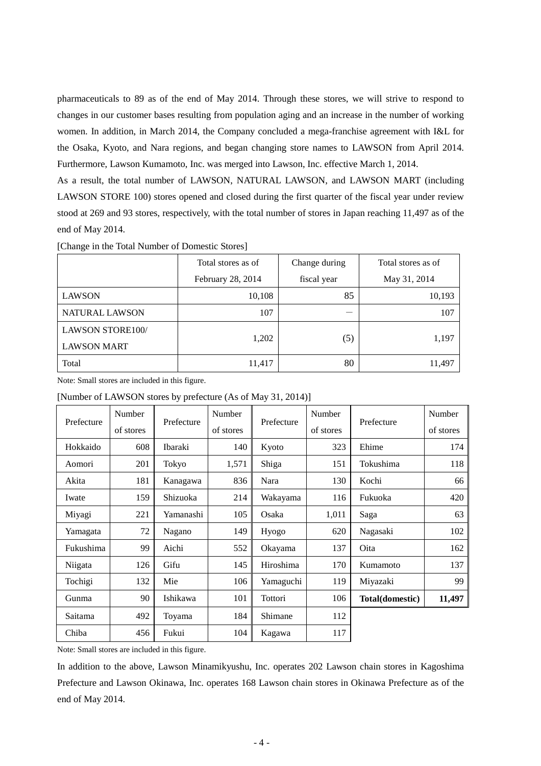pharmaceuticals to 89 as of the end of May 2014. Through these stores, we will strive to respond to changes in our customer bases resulting from population aging and an increase in the number of working women. In addition, in March 2014, the Company concluded a mega-franchise agreement with I&L for the Osaka, Kyoto, and Nara regions, and began changing store names to LAWSON from April 2014. Furthermore, Lawson Kumamoto, Inc. was merged into Lawson, Inc. effective March 1, 2014.

As a result, the total number of LAWSON, NATURAL LAWSON, and LAWSON MART (including LAWSON STORE 100) stores opened and closed during the first quarter of the fiscal year under review stood at 269 and 93 stores, respectively, with the total number of stores in Japan reaching 11,497 as of the end of May 2014.

|                         | Total stores as of | Change during | Total stores as of |
|-------------------------|--------------------|---------------|--------------------|
|                         | February 28, 2014  | fiscal year   | May 31, 2014       |
| <b>LAWSON</b>           | 10,108             | 85            | 10,193             |
| <b>NATURAL LAWSON</b>   | 107                |               | 107                |
| <b>LAWSON STORE100/</b> |                    |               |                    |
| <b>LAWSON MART</b>      | 1,202              | (5)           | 1,197              |
| Total                   | 11,417             | 80            | 11,497             |

[Change in the Total Number of Domestic Stores]

Note: Small stores are included in this figure.

[Number of LAWSON stores by prefecture (As of May 31, 2014)]

|            | Number    |            | Number    |            | Number    |                 | Number    |
|------------|-----------|------------|-----------|------------|-----------|-----------------|-----------|
| Prefecture | of stores | Prefecture | of stores | Prefecture | of stores | Prefecture      | of stores |
| Hokkaido   | 608       | Ibaraki    | 140       | Kyoto      | 323       | Ehime           | 174       |
| Aomori     | 201       | Tokyo      | 1,571     | Shiga      | 151       | Tokushima       | 118       |
| Akita      | 181       | Kanagawa   | 836       | Nara       | 130       | Kochi           | 66        |
| Iwate      | 159       | Shizuoka   | 214       | Wakayama   | 116       | Fukuoka         | 420       |
| Miyagi     | 221       | Yamanashi  | 105       | Osaka      | 1,011     | Saga            | 63        |
| Yamagata   | 72        | Nagano     | 149       | Hyogo      | 620       | Nagasaki        | 102       |
| Fukushima  | 99        | Aichi      | 552       | Okayama    | 137       | Oita            | 162       |
| Niigata    | 126       | Gifu       | 145       | Hiroshima  | 170       | Kumamoto        | 137       |
| Tochigi    | 132       | Mie        | 106       | Yamaguchi  | 119       | Miyazaki        | 99        |
| Gunma      | 90        | Ishikawa   | 101       | Tottori    | 106       | Total(domestic) | 11,497    |
| Saitama    | 492       | Toyama     | 184       | Shimane    | 112       |                 |           |
| Chiba      | 456       | Fukui      | 104       | Kagawa     | 117       |                 |           |

Note: Small stores are included in this figure.

In addition to the above, Lawson Minamikyushu, Inc. operates 202 Lawson chain stores in Kagoshima Prefecture and Lawson Okinawa, Inc. operates 168 Lawson chain stores in Okinawa Prefecture as of the end of May 2014.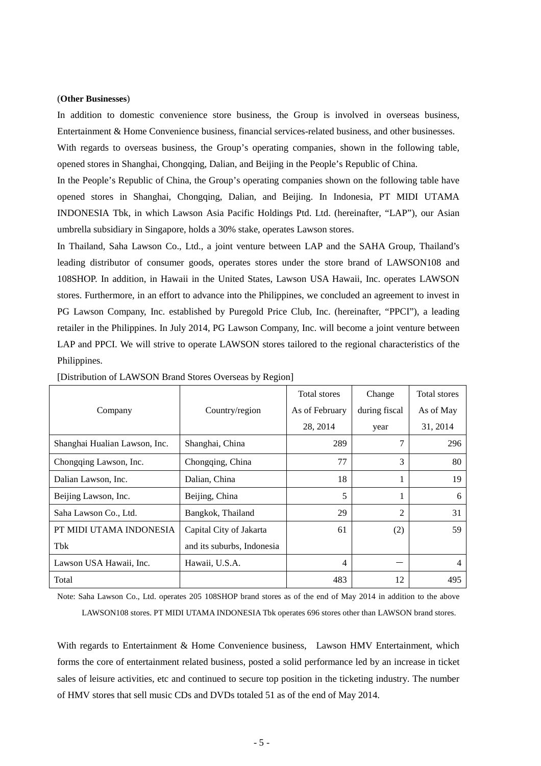#### (**Other Businesses**)

In addition to domestic convenience store business, the Group is involved in overseas business, Entertainment & Home Convenience business, financial services-related business, and other businesses.

With regards to overseas business, the Group's operating companies, shown in the following table, opened stores in Shanghai, Chongqing, Dalian, and Beijing in the People's Republic of China.

In the People's Republic of China, the Group's operating companies shown on the following table have opened stores in Shanghai, Chongqing, Dalian, and Beijing. In Indonesia, PT MIDI UTAMA INDONESIA Tbk, in which Lawson Asia Pacific Holdings Ptd. Ltd. (hereinafter, "LAP"), our Asian umbrella subsidiary in Singapore, holds a 30% stake, operates Lawson stores.

In Thailand, Saha Lawson Co., Ltd., a joint venture between LAP and the SAHA Group, Thailand's leading distributor of consumer goods, operates stores under the store brand of LAWSON108 and 108SHOP. In addition, in Hawaii in the United States, Lawson USA Hawaii, Inc. operates LAWSON stores. Furthermore, in an effort to advance into the Philippines, we concluded an agreement to invest in PG Lawson Company, Inc. established by Puregold Price Club, Inc. (hereinafter, "PPCI"), a leading retailer in the Philippines. In July 2014, PG Lawson Company, Inc. will become a joint venture between LAP and PPCI. We will strive to operate LAWSON stores tailored to the regional characteristics of the Philippines.

|                               |                            | <b>Total</b> stores | Change        | <b>Total</b> stores |
|-------------------------------|----------------------------|---------------------|---------------|---------------------|
| Company                       | Country/region             | As of February      | during fiscal | As of May           |
|                               |                            | 28, 2014            | year          | 31, 2014            |
| Shanghai Hualian Lawson, Inc. | Shanghai, China            | 289                 | 7             | 296                 |
| Chongqing Lawson, Inc.        | Chongqing, China           | 77                  | 3             | 80                  |
| Dalian Lawson, Inc.           | Dalian, China              | 18                  |               | 19                  |
| Beijing Lawson, Inc.          | Beijing, China             | 5                   |               | 6                   |
| Saha Lawson Co., Ltd.         | Bangkok, Thailand          | 29                  | 2             | 31                  |
| PT MIDI UTAMA INDONESIA       | Capital City of Jakarta    | 61                  | (2)           | 59                  |
| Tbk                           | and its suburbs, Indonesia |                     |               |                     |
| Lawson USA Hawaii, Inc.       | Hawaii, U.S.A.             | 4                   |               | 4                   |
| Total                         |                            | 483                 | 12            | 495                 |

[Distribution of LAWSON Brand Stores Overseas by Region]

Note: Saha Lawson Co., Ltd. operates 205 108SHOP brand stores as of the end of May 2014 in addition to the above LAWSON108 stores. PT MIDI UTAMA INDONESIA Tbk operates 696 stores other than LAWSON brand stores.

With regards to Entertainment & Home Convenience business, Lawson HMV Entertainment, which forms the core of entertainment related business, posted a solid performance led by an increase in ticket sales of leisure activities, etc and continued to secure top position in the ticketing industry. The number of HMV stores that sell music CDs and DVDs totaled 51 as of the end of May 2014.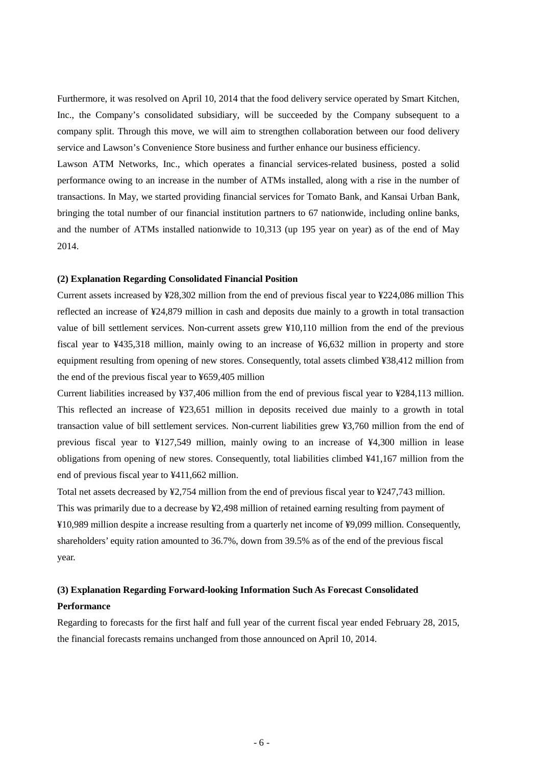Furthermore, it was resolved on April 10, 2014 that the food delivery service operated by Smart Kitchen, Inc., the Company's consolidated subsidiary, will be succeeded by the Company subsequent to a company split. Through this move, we will aim to strengthen collaboration between our food delivery service and Lawson's Convenience Store business and further enhance our business efficiency.

Lawson ATM Networks, Inc., which operates a financial services-related business, posted a solid performance owing to an increase in the number of ATMs installed, along with a rise in the number of transactions. In May, we started providing financial services for Tomato Bank, and Kansai Urban Bank, bringing the total number of our financial institution partners to 67 nationwide, including online banks, and the number of ATMs installed nationwide to 10,313 (up 195 year on year) as of the end of May 2014.

## **(2) Explanation Regarding Consolidated Financial Position**

Current assets increased by ¥28,302 million from the end of previous fiscal year to ¥224,086 million This reflected an increase of ¥24,879 million in cash and deposits due mainly to a growth in total transaction value of bill settlement services. Non-current assets grew ¥10,110 million from the end of the previous fiscal year to ¥435,318 million, mainly owing to an increase of ¥6,632 million in property and store equipment resulting from opening of new stores. Consequently, total assets climbed ¥38,412 million from the end of the previous fiscal year to ¥659,405 million

Current liabilities increased by ¥37,406 million from the end of previous fiscal year to ¥284,113 million. This reflected an increase of ¥23,651 million in deposits received due mainly to a growth in total transaction value of bill settlement services. Non-current liabilities grew ¥3,760 million from the end of previous fiscal year to ¥127,549 million, mainly owing to an increase of ¥4,300 million in lease obligations from opening of new stores. Consequently, total liabilities climbed ¥41,167 million from the end of previous fiscal year to ¥411,662 million.

Total net assets decreased by ¥2,754 million from the end of previous fiscal year to ¥247,743 million. This was primarily due to a decrease by ¥2,498 million of retained earning resulting from payment of ¥10,989 million despite a increase resulting from a quarterly net income of ¥9,099 million. Consequently, shareholders' equity ration amounted to 36.7%, down from 39.5% as of the end of the previous fiscal year.

## **(3) Explanation Regarding Forward-looking Information Such As Forecast Consolidated Performance**

Regarding to forecasts for the first half and full year of the current fiscal year ended February 28, 2015, the financial forecasts remains unchanged from those announced on April 10, 2014.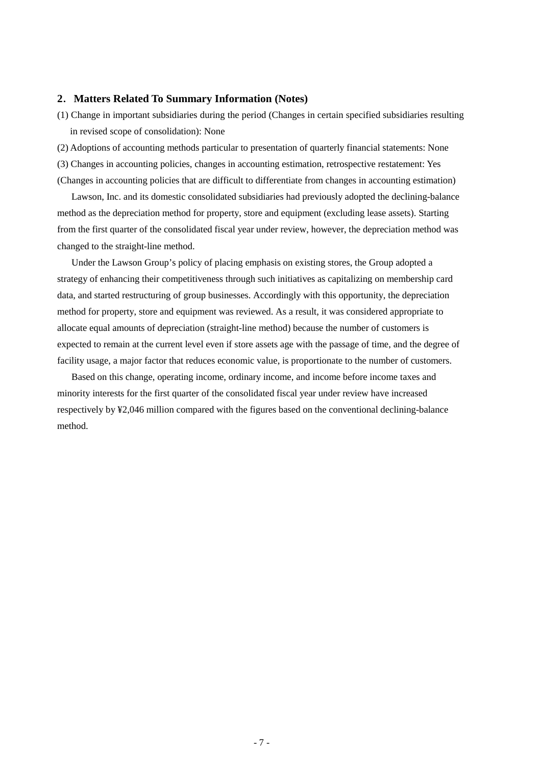## **2**.**Matters Related To Summary Information (Notes)**

(1) Change in important subsidiaries during the period (Changes in certain specified subsidiaries resulting in revised scope of consolidation): None

(2) Adoptions of accounting methods particular to presentation of quarterly financial statements: None

(3) Changes in accounting policies, changes in accounting estimation, retrospective restatement: Yes (Changes in accounting policies that are difficult to differentiate from changes in accounting estimation)

Lawson, Inc. and its domestic consolidated subsidiaries had previously adopted the declining-balance method as the depreciation method for property, store and equipment (excluding lease assets). Starting from the first quarter of the consolidated fiscal year under review, however, the depreciation method was changed to the straight-line method.

Under the Lawson Group's policy of placing emphasis on existing stores, the Group adopted a strategy of enhancing their competitiveness through such initiatives as capitalizing on membership card data, and started restructuring of group businesses. Accordingly with this opportunity, the depreciation method for property, store and equipment was reviewed. As a result, it was considered appropriate to allocate equal amounts of depreciation (straight-line method) because the number of customers is expected to remain at the current level even if store assets age with the passage of time, and the degree of facility usage, a major factor that reduces economic value, is proportionate to the number of customers.

Based on this change, operating income, ordinary income, and income before income taxes and minority interests for the first quarter of the consolidated fiscal year under review have increased respectively by ¥2,046 million compared with the figures based on the conventional declining-balance method.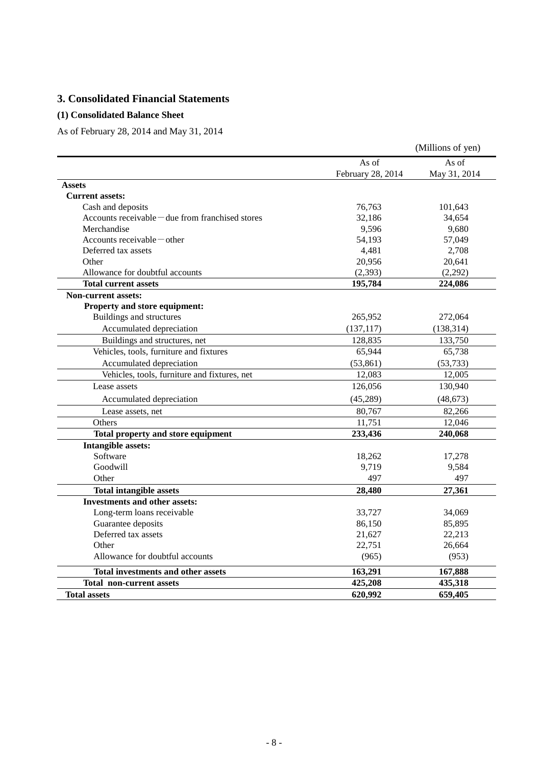# **3. Consolidated Financial Statements**

## **(1) Consolidated Balance Sheet**

As of February 28, 2014 and May 31, 2014

|                                                          |                   | (Millions of yen) |
|----------------------------------------------------------|-------------------|-------------------|
|                                                          | As of             | As of             |
|                                                          | February 28, 2014 | May 31, 2014      |
| <b>Assets</b>                                            |                   |                   |
| <b>Current assets:</b>                                   |                   |                   |
| Cash and deposits                                        | 76,763            | 101,643           |
| Accounts receivable $-\text{due from franchised stores}$ | 32,186            | 34,654            |
| Merchandise                                              | 9,596             | 9,680             |
| Accounts receivable $-$ other                            | 54,193            | 57,049            |
| Deferred tax assets                                      | 4,481             | 2,708             |
| Other                                                    | 20,956            | 20,641            |
| Allowance for doubtful accounts                          | (2, 393)          | (2,292)           |
| <b>Total current assets</b>                              | 195,784           | 224,086           |
| <b>Non-current assets:</b>                               |                   |                   |
| Property and store equipment:                            |                   |                   |
| Buildings and structures                                 | 265,952           | 272,064           |
| Accumulated depreciation                                 | (137, 117)        | (138, 314)        |
| Buildings and structures, net                            | 128,835           | 133,750           |
| Vehicles, tools, furniture and fixtures                  | 65,944            | 65,738            |
| Accumulated depreciation                                 | (53, 861)         | (53, 733)         |
| Vehicles, tools, furniture and fixtures, net             | 12,083            | 12,005            |
| Lease assets                                             | 126,056           | 130,940           |
| Accumulated depreciation                                 | (45,289)          | (48, 673)         |
| Lease assets, net                                        | 80,767            | 82,266            |
| Others                                                   | 11,751            | 12,046            |
| Total property and store equipment                       | 233,436           | 240,068           |
| <b>Intangible assets:</b>                                |                   |                   |
| Software                                                 | 18,262            | 17,278            |
| Goodwill                                                 | 9,719             | 9,584             |
| Other                                                    | 497               | 497               |
| <b>Total intangible assets</b>                           | 28,480            | 27,361            |
| <b>Investments and other assets:</b>                     |                   |                   |
| Long-term loans receivable                               | 33,727            | 34,069            |
| Guarantee deposits                                       | 86,150            | 85,895            |
| Deferred tax assets                                      | 21,627            | 22,213            |
| Other                                                    | 22,751            | 26,664            |
| Allowance for doubtful accounts                          | (965)             | (953)             |
| <b>Total investments and other assets</b>                | 163,291           | 167,888           |
| <b>Total non-current assets</b>                          | 425,208           | 435,318           |
| <b>Total assets</b>                                      | 620,992           | 659,405           |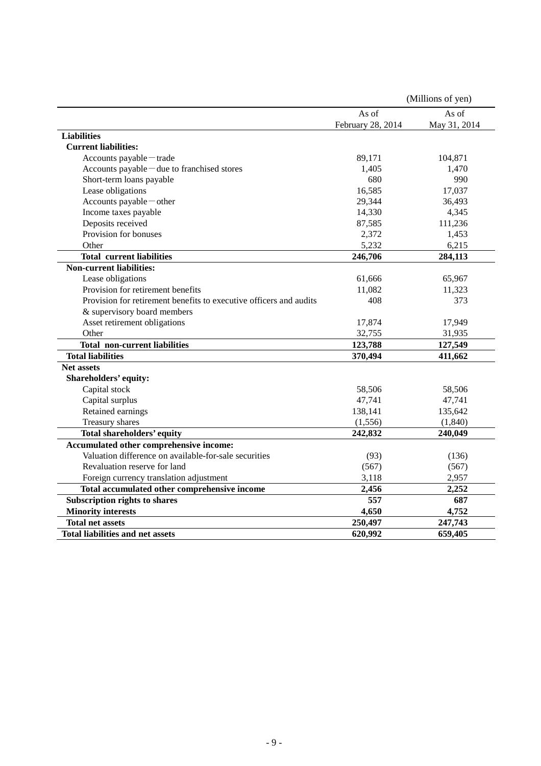|                                                                    |                   | (Millions of yen) |
|--------------------------------------------------------------------|-------------------|-------------------|
|                                                                    | As of             | As of             |
|                                                                    | February 28, 2014 | May 31, 2014      |
| <b>Liabilities</b>                                                 |                   |                   |
| <b>Current liabilities:</b>                                        |                   |                   |
| Accounts payable - trade                                           | 89,171            | 104,871           |
| Accounts payable - due to franchised stores                        | 1,405             | 1,470             |
| Short-term loans payable                                           | 680               | 990               |
| Lease obligations                                                  | 16,585            | 17,037            |
| Accounts payable - other                                           | 29,344            | 36,493            |
| Income taxes payable                                               | 14,330            | 4,345             |
| Deposits received                                                  | 87,585            | 111,236           |
| Provision for bonuses                                              | 2,372             | 1,453             |
| Other                                                              | 5,232             | 6,215             |
| <b>Total current liabilities</b>                                   | 246,706           | 284,113           |
| <b>Non-current liabilities:</b>                                    |                   |                   |
| Lease obligations                                                  | 61,666            | 65,967            |
| Provision for retirement benefits                                  | 11,082            | 11,323            |
| Provision for retirement benefits to executive officers and audits | 408               | 373               |
| & supervisory board members                                        |                   |                   |
| Asset retirement obligations                                       | 17,874            | 17,949            |
| Other                                                              | 32,755            | 31,935            |
| <b>Total non-current liabilities</b>                               | 123,788           | 127,549           |
| <b>Total liabilities</b>                                           | 370,494           | 411,662           |
| Net assets                                                         |                   |                   |
| Shareholders' equity:                                              |                   |                   |
| Capital stock                                                      | 58,506            | 58,506            |
| Capital surplus                                                    | 47,741            | 47,741            |
| Retained earnings                                                  | 138,141           | 135,642           |
| Treasury shares                                                    | (1,556)           | (1, 840)          |
| <b>Total shareholders' equity</b>                                  | 242,832           | 240,049           |
| Accumulated other comprehensive income:                            |                   |                   |
| Valuation difference on available-for-sale securities              | (93)              | (136)             |
| Revaluation reserve for land                                       | (567)             | (567)             |
| Foreign currency translation adjustment                            | 3,118             | 2,957             |
| Total accumulated other comprehensive income                       | 2,456             | 2,252             |
| Subscription rights to shares                                      | 557               | 687               |
| <b>Minority interests</b>                                          | 4,650             | 4,752             |
| <b>Total net assets</b>                                            | 250,497           | 247,743           |
| <b>Total liabilities and net assets</b>                            | 620,992           | 659,405           |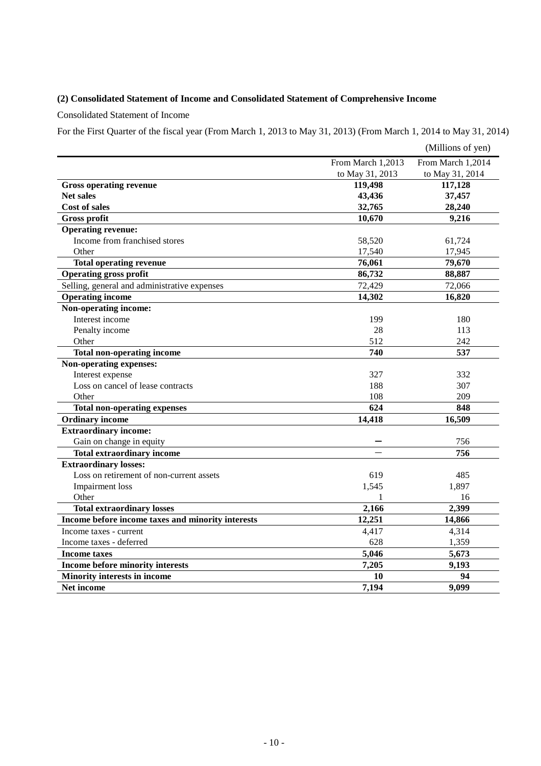## **(2) Consolidated Statement of Income and Consolidated Statement of Comprehensive Income**

Consolidated Statement of Income

For the First Quarter of the fiscal year (From March 1, 2013 to May 31, 2013) (From March 1, 2014 to May 31, 2014)

|                                                   |                   | (Millions of yen) |
|---------------------------------------------------|-------------------|-------------------|
|                                                   | From March 1,2013 | From March 1,2014 |
|                                                   | to May 31, 2013   | to May 31, 2014   |
| <b>Gross operating revenue</b>                    | 119,498           | 117,128           |
| <b>Net sales</b>                                  | 43,436            | 37,457            |
| <b>Cost of sales</b>                              | 32,765            | 28,240            |
| <b>Gross profit</b>                               | 10,670            | 9,216             |
| <b>Operating revenue:</b>                         |                   |                   |
| Income from franchised stores                     | 58,520            | 61,724            |
| Other                                             | 17,540            | 17,945            |
| <b>Total operating revenue</b>                    | 76,061            | 79,670            |
| Operating gross profit                            | 86,732            | 88,887            |
| Selling, general and administrative expenses      | 72,429            | 72,066            |
| <b>Operating income</b>                           | 14,302            | 16,820            |
| Non-operating income:                             |                   |                   |
| Interest income                                   | 199               | 180               |
| Penalty income                                    | 28                | 113               |
| Other                                             | 512               | 242               |
| <b>Total non-operating income</b>                 | 740               | 537               |
| Non-operating expenses:                           |                   |                   |
| Interest expense                                  | 327               | 332               |
| Loss on cancel of lease contracts                 | 188               | 307               |
| Other                                             | 108               | 209               |
| <b>Total non-operating expenses</b>               | 624               | 848               |
| <b>Ordinary income</b>                            | 14,418            | 16,509            |
| <b>Extraordinary income:</b>                      |                   |                   |
| Gain on change in equity                          |                   | 756               |
| <b>Total extraordinary income</b>                 |                   | 756               |
| <b>Extraordinary losses:</b>                      |                   |                   |
| Loss on retirement of non-current assets          | 619               | 485               |
| <b>Impairment</b> loss                            | 1,545             | 1,897             |
| Other                                             | 1                 | 16                |
| <b>Total extraordinary losses</b>                 | 2,166             | 2,399             |
| Income before income taxes and minority interests | 12,251            | 14,866            |
| Income taxes - current                            | 4,417             | 4,314             |
| Income taxes - deferred                           | 628               | 1,359             |
| <b>Income taxes</b>                               | 5,046             | 5,673             |
| Income before minority interests                  | 7,205             | 9,193             |
| <b>Minority interests in income</b>               | 10                | 94                |
| <b>Net income</b>                                 | 7,194             | 9,099             |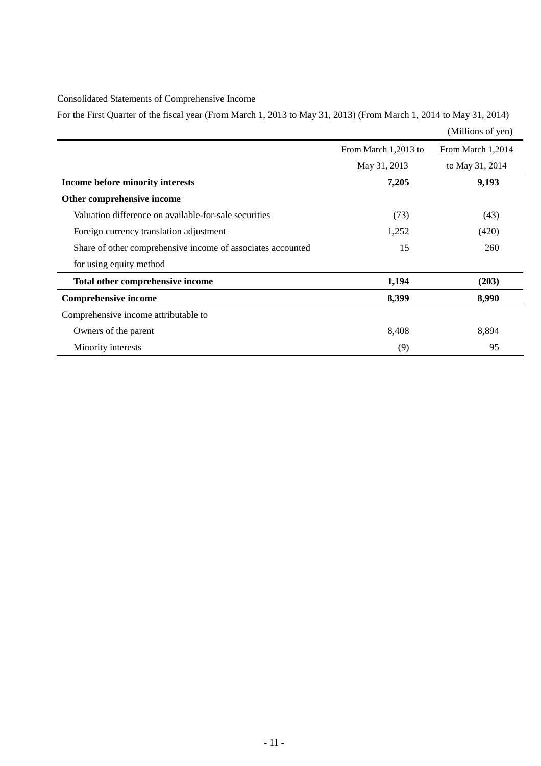## Consolidated Statements of Comprehensive Income

For the First Quarter of the fiscal year (From March 1, 2013 to May 31, 2013) (From March 1, 2014 to May 31, 2014)

|                                                             |                      | (Millions of yen) |
|-------------------------------------------------------------|----------------------|-------------------|
|                                                             | From March 1,2013 to | From March 1,2014 |
|                                                             | May 31, 2013         | to May 31, 2014   |
| Income before minority interests                            | 7,205                | 9,193             |
| Other comprehensive income                                  |                      |                   |
| Valuation difference on available-for-sale securities       | (73)                 | (43)              |
| Foreign currency translation adjustment                     | 1,252                | (420)             |
| Share of other comprehensive income of associates accounted | 15                   | 260               |
| for using equity method                                     |                      |                   |
| Total other comprehensive income                            | 1,194                | (203)             |
| <b>Comprehensive income</b>                                 | 8,399                | 8,990             |
| Comprehensive income attributable to                        |                      |                   |
| Owners of the parent                                        | 8,408                | 8,894             |
| Minority interests                                          | (9)                  | 95                |